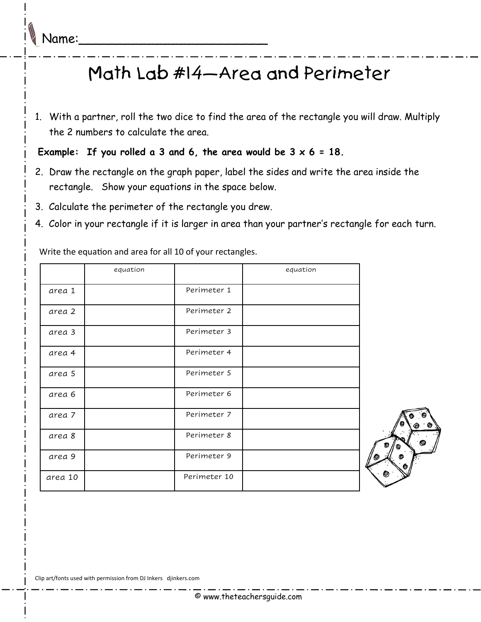## Math Lab #14—Area and Perimeter

1. With a partner, roll the two dice to find the area of the rectangle you will draw. Multiply the 2 numbers to calculate the area.

**Example: If you rolled a 3 and 6, the area would be 3 x 6 = 18.** 

- 2. Draw the rectangle on the graph paper, label the sides and write the area inside the rectangle. Show your equations in the space below.
- 3. Calculate the perimeter of the rectangle you drew.
- 4. Color in your rectangle if it is larger in area than your partner's rectangle for each turn.

|         | equation |              | equation |
|---------|----------|--------------|----------|
| area 1  |          | Perimeter 1  |          |
| area 2  |          | Perimeter 2  |          |
| area 3  |          | Perimeter 3  |          |
| area 4  |          | Perimeter 4  |          |
| area 5  |          | Perimeter 5  |          |
| area 6  |          | Perimeter 6  |          |
| area 7  |          | Perimeter 7  |          |
| area 8  |          | Perimeter 8  |          |
| area 9  |          | Perimeter 9  |          |
| area 10 |          | Perimeter 10 |          |

Write the equation and area for all 10 of your rectangles.